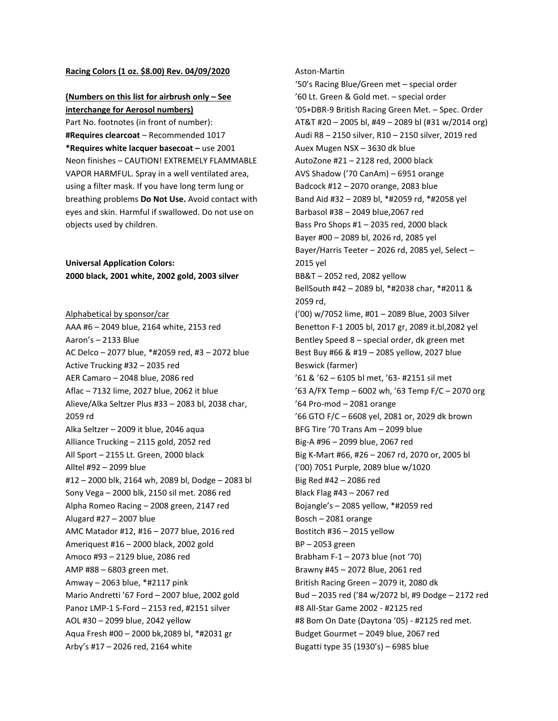## **Racing Colors (1 oz. \$8.00) Rev. 04/09/2020**

## **(Numbers on this list for airbrush only – See interchange for Aerosol numbers)**

Part No. footnotes (in front of number): **#Requires clearcoat** – Recommended 1017 **\*Requires white lacquer basecoat –** use 2001 Neon finishes – CAUTION! EXTREMELY FLAMMABLE VAPOR HARMFUL. Spray in a well ventilated area, using a filter mask. If you have long term lung or breathing problems **Do Not Use.** Avoid contact with eyes and skin. Harmful if swallowed. Do not use on objects used by children.

**Universal Application Colors: 2000 black, 2001 white, 2002 gold, 2003 silver**

Alphabetical by sponsor/car AAA #6 – 2049 blue, 2164 white, 2153 red Aaron's – 2133 Blue AC Delco – 2077 blue, \*#2059 red, #3 – 2072 blue Active Trucking #32 – 2035 red AER Camaro – 2048 blue, 2086 red Aflac – 7132 lime, 2027 blue, 2062 it blue Alieve/Alka Seltzer Plus #33 – 2083 bl, 2038 char, 2059 rd Alka Seltzer – 2009 it blue, 2046 aqua Alliance Trucking – 2115 gold, 2052 red All Sport – 2155 Lt. Green, 2000 black Alltel #92 – 2099 blue #12 – 2000 blk, 2164 wh, 2089 bl, Dodge – 2083 bl Sony Vega – 2000 blk, 2150 sil met. 2086 red Alpha Romeo Racing – 2008 green, 2147 red Alugard #27 – 2007 blue AMC Matador #12, #16 – 2077 blue, 2016 red Ameriquest #16 – 2000 black, 2002 gold Amoco #93 – 2129 blue, 2086 red AMP #88 – 6803 green met. Amway – 2063 blue, \*#2117 pink Mario Andretti '67 Ford – 2007 blue, 2002 gold Panoz LMP-1 S-Ford – 2153 red, #2151 silver AOL #30 – 2099 blue, 2042 yellow Aqua Fresh #00 – 2000 bk,2089 bl, \*#2031 gr Arby's #17 – 2026 red, 2164 white

## Aston-Martin

'50's Racing Blue/Green met – special order '60 Lt. Green & Gold met. – special order '05+DBR-9 British Racing Green Met. – Spec. Order AT&T #20 – 2005 bl, #49 – 2089 bl (#31 w/2014 org) Audi R8 – 2150 silver, R10 – 2150 silver, 2019 red Auex Mugen NSX – 3630 dk blue AutoZone #21 – 2128 red, 2000 black AVS Shadow ('70 CanAm) – 6951 orange Badcock #12 – 2070 orange, 2083 blue Band Aid #32 – 2089 bl, \*#2059 rd, \*#2058 yel Barbasol #38 – 2049 blue,2067 red Bass Pro Shops #1 – 2035 red, 2000 black Bayer #00 – 2089 bl, 2026 rd, 2085 yel Bayer/Harris Teeter – 2026 rd, 2085 yel, Select – 2015 yel BB&T – 2052 red, 2082 yellow BellSouth #42 – 2089 bl, \*#2038 char, \*#2011 & 2059 rd, ('00) w/7052 lime, #01 – 2089 Blue, 2003 Silver Benetton F-1 2005 bl, 2017 gr, 2089 it.bl,2082 yel Bentley Speed 8 – special order, dk green met Best Buy #66 & #19 – 2085 yellow, 2027 blue Beswick (farmer) '61 & '62 – 6105 bl met, '63- #2151 sil met '63 A/FX Temp – 6002 wh, '63 Temp F/C – 2070 org '64 Pro-mod – 2081 orange '66 GTO F/C – 6608 yel, 2081 or, 2029 dk brown BFG Tire '70 Trans Am – 2099 blue Big-A #96 – 2099 blue, 2067 red Big K-Mart #66, #26 – 2067 rd, 2070 or, 2005 bl ('00) 7051 Purple, 2089 blue w/1020 Big Red #42 – 2086 red Black Flag #43 – 2067 red Bojangle's – 2085 yellow, \*#2059 red Bosch – 2081 orange Bostitch #36 – 2015 yellow BP – 2053 green Brabham F-1 – 2073 blue (not '70) Brawny #45 – 2072 Blue, 2061 red British Racing Green – 2079 it, 2080 dk Bud – 2035 red ('84 w/2072 bl, #9 Dodge – 2172 red #8 All-Star Game 2002 - #2125 red #8 Bom On Date (Daytona '05) - #2125 red met. Budget Gourmet – 2049 blue, 2067 red Bugatti type 35 (1930's) – 6985 blue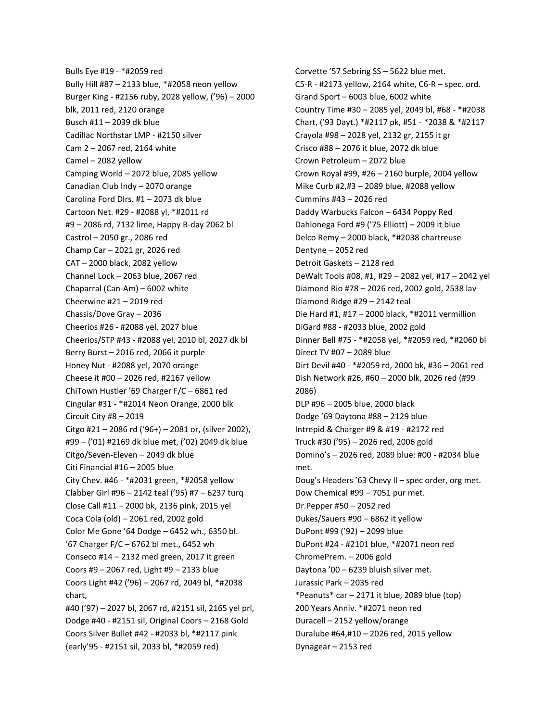Bulls Eye #19 - \*#2059 red Bully Hill #87 – 2133 blue, \*#2058 neon yellow Burger King - #2156 ruby, 2028 yellow, ('96) – 2000 blk, 2011 red, 2120 orange Busch #11 – 2039 dk blue Cadillac Northstar LMP - #2150 silver Cam 2 – 2067 red, 2164 white Camel – 2082 yellow Camping World – 2072 blue, 2085 yellow Canadian Club Indy – 2070 orange Carolina Ford Dlrs. #1 – 2073 dk blue Cartoon Net. #29 - #2088 yl, \*#2011 rd #9 – 2086 rd, 7132 lime, Happy B-day 2062 bl Castrol – 2050 gr., 2086 red Champ Car – 2021 gr, 2026 red CAT – 2000 black, 2082 yellow Channel Lock – 2063 blue, 2067 red Chaparral (Can-Am) – 6002 white Cheerwine #21 – 2019 red Chassis/Dove Gray – 2036 Cheerios #26 - #2088 yel, 2027 blue Cheerios/STP #43 - #2088 yel, 2010 bl, 2027 dk bl Berry Burst – 2016 red, 2066 it purple Honey Nut - #2088 yel, 2070 orange Cheese it #00 – 2026 red, #2167 yellow ChiTown Hustler '69 Charger F/C – 6861 red Cingular #31 - \*#2014 Neon Orange, 2000 blk Circuit City #8 – 2019 Citgo #21 – 2086 rd ('96+) – 2081 or, (silver 2002), #99 – ('01) #2169 dk blue met, ('02) 2049 dk blue Citgo/Seven-Eleven – 2049 dk blue Citi Financial #16 – 2005 blue City Chev. #46 - \*#2031 green, \*#2058 yellow Clabber Girl #96 – 2142 teal ('95) #7 – 6237 turq Close Call #11 – 2000 bk, 2136 pink, 2015 yel Coca Cola (old) – 2061 red, 2002 gold Color Me Gone '64 Dodge – 6452 wh., 6350 bl. '67 Charger F/C – 6762 bl met., 6452 wh Conseco #14 – 2132 med green, 2017 it green Coors #9 – 2067 red, Light #9 – 2133 blue Coors Light #42 ('96) – 2067 rd, 2049 bl, \*#2038 chart, #40 ('97) – 2027 bl, 2067 rd, #2151 sil, 2165 yel prl, Dodge #40 - #2151 sil, Original Coors – 2168 Gold Coors Silver Bullet #42 - #2033 bl, \*#2117 pink (early'95 - #2151 sil, 2033 bl, \*#2059 red)

Corvette '57 Sebring SS – 5622 blue met. C5-R - #2173 yellow, 2164 white, C6-R – spec. ord. Grand Sport – 6003 blue, 6002 white Country Time #30 – 2085 yel, 2049 bl, #68 - \*#2038 Chart, ('93 Dayt.) \*#2117 pk, #51 - \*2038 & \*#2117 Crayola #98 – 2028 yel, 2132 gr, 2155 it gr Crisco #88 – 2076 it blue, 2072 dk blue Crown Petroleum – 2072 blue Crown Royal #99, #26 – 2160 burple, 2004 yellow Mike Curb #2,#3 – 2089 blue, #2088 yellow Cummins #43 – 2026 red Daddy Warbucks Falcon – 6434 Poppy Red Dahlonega Ford #9 ('75 Elliott) – 2009 it blue Delco Remy – 2000 black, \*#2038 chartreuse Dentyne – 2052 red Detroit Gaskets – 2128 red DeWalt Tools #08, #1, #29 – 2082 yel, #17 – 2042 yel Diamond Rio #78 – 2026 red, 2002 gold, 2538 lav Diamond Ridge #29 – 2142 teal Die Hard #1, #17 – 2000 black, \*#2011 vermillion DiGard #88 - #2033 blue, 2002 gold Dinner Bell #75 - \*#2058 yel, \*#2059 red, \*#2060 bl Direct TV #07 – 2089 blue Dirt Devil #40 - \*#2059 rd, 2000 bk, #36 – 2061 red Dish Network #26, #60 – 2000 blk, 2026 red (#99 2086) DLP #96 – 2005 blue, 2000 black Dodge '69 Daytona #88 – 2129 blue Intrepid & Charger #9 & #19 - #2172 red Truck #30 ('95) – 2026 red, 2006 gold Domino's – 2026 red, 2089 blue: #00 - #2034 blue met. Doug's Headers '63 Chevy ll – spec order, org met. Dow Chemical #99 – 7051 pur met. Dr.Pepper #50 – 2052 red Dukes/Sauers #90 – 6862 it yellow DuPont #99 ('92) – 2099 blue DuPont #24 - #2101 blue, \*#2071 neon red ChromePrem. – 2006 gold Daytona '00 – 6239 bluish silver met. Jurassic Park – 2035 red \*Peanuts\* car  $-2171$  it blue, 2089 blue (top) 200 Years Anniv. \*#2071 neon red Duracell – 2152 yellow/orange Duralube #64,#10 – 2026 red, 2015 yellow Dynagear – 2153 red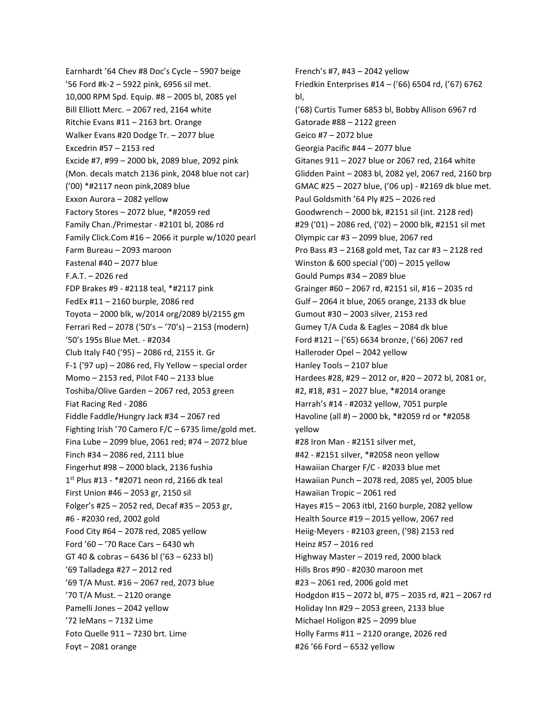Earnhardt '64 Chev #8 Doc's Cycle – 5907 beige '56 Ford #k-2 – 5922 pink, 6956 sil met. 10,000 RPM Spd. Equip. #8 – 2005 bl, 2085 yel Bill Elliott Merc. – 2067 red, 2164 white Ritchie Evans #11 – 2163 brt. Orange Walker Evans #20 Dodge Tr. – 2077 blue Excedrin #57 – 2153 red Excide #7, #99 – 2000 bk, 2089 blue, 2092 pink (Mon. decals match 2136 pink, 2048 blue not car) ('00) \*#2117 neon pink,2089 blue Exxon Aurora – 2082 yellow Factory Stores – 2072 blue, \*#2059 red Family Chan./Primestar - #2101 bl, 2086 rd Family Click.Com #16 – 2066 it purple w/1020 pearl Farm Bureau – 2093 maroon Fastenal #40 – 2077 blue F.A.T. – 2026 red FDP Brakes #9 - #2118 teal, \*#2117 pink FedEx #11 – 2160 burple, 2086 red Toyota – 2000 blk, w/2014 org/2089 bl/2155 gm Ferrari Red – 2078 ('50's – '70's) – 2153 (modern) '50's 195s Blue Met. - #2034 Club Italy F40 ('95) – 2086 rd, 2155 it. Gr F-1 ('97 up) – 2086 red, Fly Yellow – special order Momo – 2153 red, Pilot F40 – 2133 blue Toshiba/Olive Garden – 2067 red, 2053 green Fiat Racing Red - 2086 Fiddle Faddle/Hungry Jack #34 – 2067 red Fighting Irish '70 Camero F/C – 6735 lime/gold met. Fina Lube – 2099 blue, 2061 red; #74 – 2072 blue Finch #34 – 2086 red, 2111 blue Fingerhut #98 – 2000 black, 2136 fushia 1 st Plus #13 - \*#2071 neon rd, 2166 dk teal First Union #46 – 2053 gr, 2150 sil Folger's #25 – 2052 red, Decaf #35 – 2053 gr, #6 - #2030 red, 2002 gold Food City #64 – 2078 red, 2085 yellow Ford '60 – '70 Race Cars – 6430 wh GT 40 & cobras – 6436 bl ('63 – 6233 bl) '69 Talladega #27 – 2012 red '69 T/A Must. #16 – 2067 red, 2073 blue '70 T/A Must. – 2120 orange Pamelli Jones – 2042 yellow '72 leMans – 7132 Lime Foto Quelle 911 – 7230 brt. Lime Foyt – 2081 orange

French's #7, #43 – 2042 yellow Friedkin Enterprises #14 – ('66) 6504 rd, ('67) 6762 bl, ('68) Curtis Tumer 6853 bl, Bobby Allison 6967 rd Gatorade #88 – 2122 green Geico #7 – 2072 blue Georgia Pacific #44 – 2077 blue Gitanes 911 – 2027 blue or 2067 red, 2164 white Glidden Paint – 2083 bl, 2082 yel, 2067 red, 2160 brp GMAC #25 – 2027 blue, ('06 up) - #2169 dk blue met. Paul Goldsmith '64 Ply #25 – 2026 red Goodwrench – 2000 bk, #2151 sil (int. 2128 red) #29 ('01) – 2086 red, ('02) – 2000 blk, #2151 sil met Olympic car #3 – 2099 blue, 2067 red Pro Bass #3 – 2168 gold met, Taz car #3 – 2128 red Winston & 600 special ('00) – 2015 yellow Gould Pumps #34 – 2089 blue Grainger #60 – 2067 rd, #2151 sil, #16 – 2035 rd Gulf – 2064 it blue, 2065 orange, 2133 dk blue Gumout #30 – 2003 silver, 2153 red Gumey T/A Cuda & Eagles – 2084 dk blue Ford #121 – ('65) 6634 bronze, ('66) 2067 red Halleroder Opel – 2042 yellow Hanley Tools – 2107 blue Hardees #28, #29 – 2012 or, #20 – 2072 bl, 2081 or, #2, #18, #31 – 2027 blue, \*#2014 orange Harrah's #14 - #2032 yellow, 7051 purple Havoline (all #) – 2000 bk, \*#2059 rd or \*#2058 yellow #28 Iron Man - #2151 silver met, #42 - #2151 silver, \*#2058 neon yellow Hawaiian Charger F/C - #2033 blue met Hawaiian Punch – 2078 red, 2085 yel, 2005 blue Hawaiian Tropic – 2061 red Hayes #15 – 2063 itbl, 2160 burple, 2082 yellow Health Source #19 – 2015 yellow, 2067 red Heiig-Meyers - #2103 green, ('98) 2153 red Heinz #57 – 2016 red Highway Master – 2019 red, 2000 black Hills Bros #90 - #2030 maroon met #23 – 2061 red, 2006 gold met Hodgdon #15 – 2072 bl, #75 – 2035 rd, #21 – 2067 rd Holiday Inn #29 – 2053 green, 2133 blue Michael Holigon #25 – 2099 blue Holly Farms #11 – 2120 orange, 2026 red #26 '66 Ford – 6532 yellow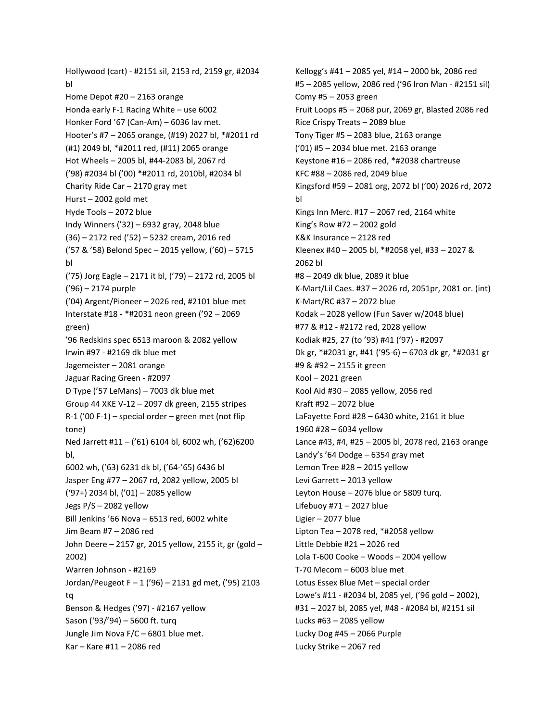Hollywood (cart) - #2151 sil, 2153 rd, 2159 gr, #2034 bl Home Depot #20 – 2163 orange Honda early F-1 Racing White – use 6002 Honker Ford '67 (Can-Am) – 6036 lav met. Hooter's #7 – 2065 orange, (#19) 2027 bl, \*#2011 rd (#1) 2049 bl, \*#2011 red, (#11) 2065 orange Hot Wheels – 2005 bl, #44-2083 bl, 2067 rd ('98) #2034 bl ('00) \*#2011 rd, 2010bl, #2034 bl Charity Ride Car – 2170 gray met Hurst – 2002 gold met Hyde Tools – 2072 blue Indy Winners ('32) – 6932 gray, 2048 blue (36) – 2172 red ('52) – 5232 cream, 2016 red ('57 & '58) Belond Spec – 2015 yellow, ('60) – 5715 bl ('75) Jorg Eagle – 2171 it bl, ('79) – 2172 rd, 2005 bl ('96) – 2174 purple ('04) Argent/Pioneer – 2026 red, #2101 blue met Interstate #18 - \*#2031 neon green ('92 – 2069 green) '96 Redskins spec 6513 maroon & 2082 yellow Irwin #97 - #2169 dk blue met Jagemeister – 2081 orange Jaguar Racing Green - #2097 D Type ('57 LeMans) – 7003 dk blue met Group 44 XKE V-12 – 2097 dk green, 2155 stripes R-1 ('00 F-1) – special order – green met (not flip tone) Ned Jarrett #11 – ('61) 6104 bl, 6002 wh, ('62)6200 bl, 6002 wh, ('63) 6231 dk bl, ('64-'65) 6436 bl Jasper Eng #77 – 2067 rd, 2082 yellow, 2005 bl ('97+) 2034 bl, ('01) – 2085 yellow Jegs P/S – 2082 yellow Bill Jenkins '66 Nova – 6513 red, 6002 white Jim Beam #7 – 2086 red John Deere – 2157 gr, 2015 yellow, 2155 it, gr (gold – 2002) Warren Johnson - #2169 Jordan/Peugeot F – 1 ('96) – 2131 gd met, ('95) 2103 tq Benson & Hedges ('97) - #2167 yellow Sason ('93/'94) – 5600 ft. turq Jungle Jim Nova F/C – 6801 blue met. Kar – Kare #11 – 2086 red

Kellogg's #41 – 2085 yel, #14 – 2000 bk, 2086 red #5 – 2085 yellow, 2086 red ('96 Iron Man - #2151 sil) Comy #5 – 2053 green Fruit Loops #5 – 2068 pur, 2069 gr, Blasted 2086 red Rice Crispy Treats – 2089 blue Tony Tiger #5 – 2083 blue, 2163 orange ('01) #5 – 2034 blue met. 2163 orange Keystone #16 – 2086 red, \*#2038 chartreuse KFC #88 – 2086 red, 2049 blue Kingsford #59 – 2081 org, 2072 bl ('00) 2026 rd, 2072 bl Kings Inn Merc. #17 – 2067 red, 2164 white King's Row #72 – 2002 gold K&K Insurance – 2128 red Kleenex #40 – 2005 bl, \*#2058 yel, #33 – 2027 & 2062 bl #8 – 2049 dk blue, 2089 it blue K-Mart/Lil Caes. #37 – 2026 rd, 2051pr, 2081 or. (int) K-Mart/RC #37 – 2072 blue Kodak – 2028 yellow (Fun Saver w/2048 blue) #77 & #12 - #2172 red, 2028 yellow Kodiak #25, 27 (to '93) #41 ('97) - #2097 Dk gr, \*#2031 gr, #41 ('95-6) – 6703 dk gr, \*#2031 gr #9 & #92 – 2155 it green Kool – 2021 green Kool Aid #30 – 2085 yellow, 2056 red Kraft #92 – 2072 blue LaFayette Ford #28 – 6430 white, 2161 it blue 1960 #28 – 6034 yellow Lance #43, #4, #25 – 2005 bl, 2078 red, 2163 orange Landy's '64 Dodge – 6354 gray met Lemon Tree #28 – 2015 yellow Levi Garrett – 2013 yellow Leyton House – 2076 blue or 5809 turq. Lifebuoy #71 – 2027 blue Ligier – 2077 blue Lipton Tea – 2078 red, \*#2058 yellow Little Debbie #21 – 2026 red Lola T-600 Cooke – Woods – 2004 yellow T-70 Mecom – 6003 blue met Lotus Essex Blue Met – special order Lowe's #11 - #2034 bl, 2085 yel, ('96 gold – 2002), #31 – 2027 bl, 2085 yel, #48 - #2084 bl, #2151 sil Lucks #63 – 2085 yellow Lucky Dog #45 – 2066 Purple Lucky Strike – 2067 red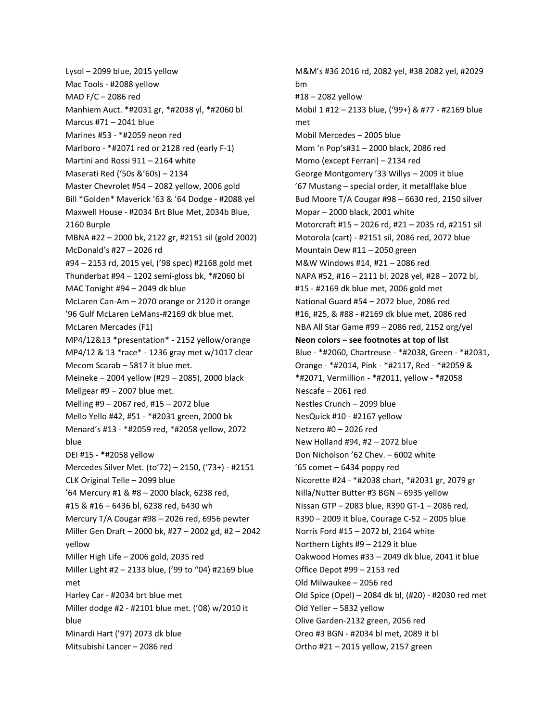Lysol – 2099 blue, 2015 yellow Mac Tools - #2088 yellow MAD F/C – 2086 red Manhiem Auct. \*#2031 gr, \*#2038 yl, \*#2060 bl Marcus #71 – 2041 blue Marines #53 - \*#2059 neon red Marlboro - \*#2071 red or 2128 red (early F-1) Martini and Rossi 911 – 2164 white Maserati Red ('50s &'60s) – 2134 Master Chevrolet #54 – 2082 yellow, 2006 gold Bill \*Golden\* Maverick '63 & '64 Dodge - #2088 yel Maxwell House - #2034 Brt Blue Met, 2034b Blue, 2160 Burple MBNA #22 – 2000 bk, 2122 gr, #2151 sil (gold 2002) McDonald's #27 – 2026 rd #94 – 2153 rd, 2015 yel, ('98 spec) #2168 gold met Thunderbat #94 – 1202 semi-gloss bk, \*#2060 bl MAC Tonight #94 – 2049 dk blue McLaren Can-Am – 2070 orange or 2120 it orange '96 Gulf McLaren LeMans-#2169 dk blue met. McLaren Mercades (F1) MP4/12&13 \*presentation\* - 2152 yellow/orange MP4/12 & 13 \*race\* - 1236 gray met w/1017 clear Mecom Scarab – 5817 it blue met. Meineke – 2004 yellow (#29 – 2085), 2000 black Mellgear #9 – 2007 blue met. Melling #9 – 2067 red, #15 – 2072 blue Mello Yello #42, #51 - \*#2031 green, 2000 bk Menard's #13 - \*#2059 red, \*#2058 yellow, 2072 blue DEI #15 - \*#2058 yellow Mercedes Silver Met. (to'72) – 2150, ('73+) - #2151 CLK Original Telle – 2099 blue '64 Mercury #1 & #8 – 2000 black, 6238 red, #15 & #16 – 6436 bl, 6238 red, 6430 wh Mercury T/A Cougar #98 – 2026 red, 6956 pewter Miller Gen Draft – 2000 bk, #27 – 2002 gd, #2 – 2042 yellow Miller High Life – 2006 gold, 2035 red Miller Light #2 – 2133 blue, ('99 to "04) #2169 blue met Harley Car - #2034 brt blue met Miller dodge #2 - #2101 blue met. ('08) w/2010 it blue Minardi Hart ('97) 2073 dk blue Mitsubishi Lancer – 2086 red

M&M's #36 2016 rd, 2082 yel, #38 2082 yel, #2029 bm #18 – 2082 yellow Mobil 1 #12 – 2133 blue, ('99+) & #77 - #2169 blue met Mobil Mercedes – 2005 blue Mom 'n Pop's#31 – 2000 black, 2086 red Momo (except Ferrari) – 2134 red George Montgomery '33 Willys – 2009 it blue '67 Mustang – special order, it metalflake blue Bud Moore T/A Cougar #98 – 6630 red, 2150 silver Mopar – 2000 black, 2001 white Motorcraft #15 – 2026 rd, #21 – 2035 rd, #2151 sil Motorola (cart) - #2151 sil, 2086 red, 2072 blue Mountain Dew #11 – 2050 green M&W Windows #14, #21 – 2086 red NAPA #52, #16 – 2111 bl, 2028 yel, #28 – 2072 bl, #15 - #2169 dk blue met, 2006 gold met National Guard #54 – 2072 blue, 2086 red #16, #25, & #88 - #2169 dk blue met, 2086 red NBA All Star Game #99 – 2086 red, 2152 org/yel **Neon colors – see footnotes at top of list** Blue - \*#2060, Chartreuse - \*#2038, Green - \*#2031, Orange - \*#2014, Pink - \*#2117, Red - \*#2059 & \*#2071, Vermillion - \*#2011, yellow - \*#2058 Nescafe – 2061 red Nestles Crunch – 2099 blue NesQuick #10 - #2167 yellow Netzero #0 – 2026 red New Holland #94, #2 – 2072 blue Don Nicholson '62 Chev. – 6002 white '65 comet – 6434 poppy red Nicorette #24 - \*#2038 chart, \*#2031 gr, 2079 gr Nilla/Nutter Butter #3 BGN – 6935 yellow Nissan GTP – 2083 blue, R390 GT-1 – 2086 red, R390 – 2009 it blue, Courage C-52 – 2005 blue Norris Ford #15 – 2072 bl, 2164 white Northern Lights #9 – 2129 it blue Oakwood Homes #33 – 2049 dk blue, 2041 it blue Office Depot #99 – 2153 red Old Milwaukee – 2056 red Old Spice (Opel) – 2084 dk bl, (#20) - #2030 red met Old Yeller – 5832 yellow Olive Garden-2132 green, 2056 red Oreo #3 BGN - #2034 bl met, 2089 it bl Ortho #21 – 2015 yellow, 2157 green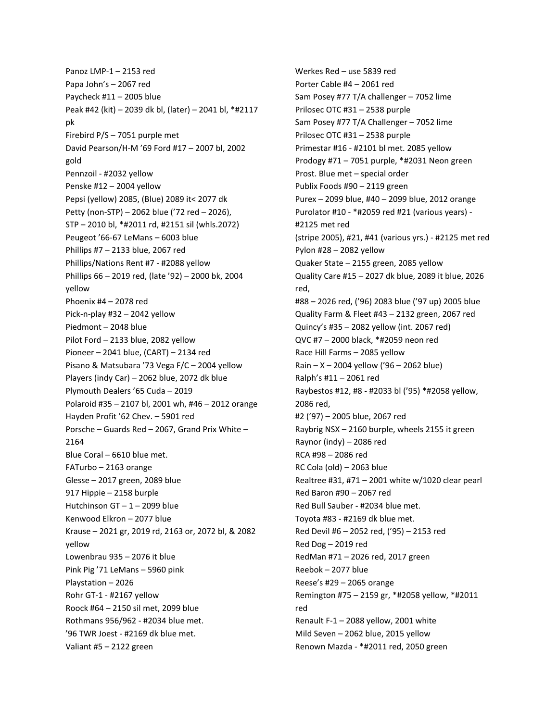Panoz LMP-1 – 2153 red Papa John's – 2067 red Paycheck #11 – 2005 blue Peak #42 (kit) – 2039 dk bl, (later) – 2041 bl, \*#2117 pk Firebird P/S – 7051 purple met David Pearson/H-M '69 Ford #17 – 2007 bl, 2002 gold Pennzoil - #2032 yellow Penske #12 – 2004 yellow Pepsi (yellow) 2085, (Blue) 2089 it< 2077 dk Petty (non-STP) – 2062 blue ('72 red – 2026), STP – 2010 bl, \*#2011 rd, #2151 sil (whls.2072) Peugeot '66-67 LeMans – 6003 blue Phillips #7 – 2133 blue, 2067 red Phillips/Nations Rent #7 - #2088 yellow Phillips 66 – 2019 red, (late '92) – 2000 bk, 2004 yellow Phoenix #4 – 2078 red Pick-n-play #32 – 2042 yellow Piedmont – 2048 blue Pilot Ford – 2133 blue, 2082 yellow Pioneer – 2041 blue, (CART) – 2134 red Pisano & Matsubara '73 Vega F/C – 2004 yellow Players (indy Car) – 2062 blue, 2072 dk blue Plymouth Dealers '65 Cuda – 2019 Polaroid #35 – 2107 bl, 2001 wh, #46 – 2012 orange Hayden Profit '62 Chev. – 5901 red Porsche – Guards Red – 2067, Grand Prix White – 2164 Blue Coral – 6610 blue met. FATurbo – 2163 orange Glesse – 2017 green, 2089 blue 917 Hippie – 2158 burple Hutchinson GT – 1 – 2099 blue Kenwood Elkron – 2077 blue Krause – 2021 gr, 2019 rd, 2163 or, 2072 bl, & 2082 yellow Lowenbrau 935 – 2076 it blue Pink Pig '71 LeMans – 5960 pink Playstation – 2026 Rohr GT-1 - #2167 yellow Roock #64 – 2150 sil met, 2099 blue Rothmans 956/962 - #2034 blue met. '96 TWR Joest - #2169 dk blue met. Valiant #5 – 2122 green

Werkes Red – use 5839 red Porter Cable #4 – 2061 red Sam Posey #77 T/A challenger – 7052 lime Prilosec OTC #31 – 2538 purple Sam Posey #77 T/A Challenger – 7052 lime Prilosec OTC #31 – 2538 purple Primestar #16 - #2101 bl met. 2085 yellow Prodogy #71 – 7051 purple, \*#2031 Neon green Prost. Blue met – special order Publix Foods #90 – 2119 green Purex – 2099 blue, #40 – 2099 blue, 2012 orange Purolator #10 - \*#2059 red #21 (various years) - #2125 met red (stripe 2005), #21, #41 (various yrs.) - #2125 met red Pylon #28 – 2082 yellow Quaker State – 2155 green, 2085 yellow Quality Care #15 – 2027 dk blue, 2089 it blue, 2026 red, #88 – 2026 red, ('96) 2083 blue ('97 up) 2005 blue Quality Farm & Fleet #43 – 2132 green, 2067 red Quincy's #35 – 2082 yellow (int. 2067 red) QVC #7 – 2000 black, \*#2059 neon red Race Hill Farms – 2085 yellow Rain – X – 2004 yellow ('96 – 2062 blue) Ralph's #11 – 2061 red Raybestos #12, #8 - #2033 bl ('95) \*#2058 yellow, 2086 red, #2 ('97) – 2005 blue, 2067 red Raybrig NSX – 2160 burple, wheels 2155 it green Raynor (indy) – 2086 red RCA #98 – 2086 red RC Cola (old) – 2063 blue Realtree #31, #71 – 2001 white w/1020 clear pearl Red Baron #90 – 2067 red Red Bull Sauber - #2034 blue met. Toyota #83 - #2169 dk blue met. Red Devil #6 – 2052 red, ('95) – 2153 red Red Dog – 2019 red RedMan #71 – 2026 red, 2017 green Reebok – 2077 blue Reese's #29 – 2065 orange Remington #75 – 2159 gr, \*#2058 yellow, \*#2011 red Renault F-1 – 2088 yellow, 2001 white Mild Seven – 2062 blue, 2015 yellow Renown Mazda - \*#2011 red, 2050 green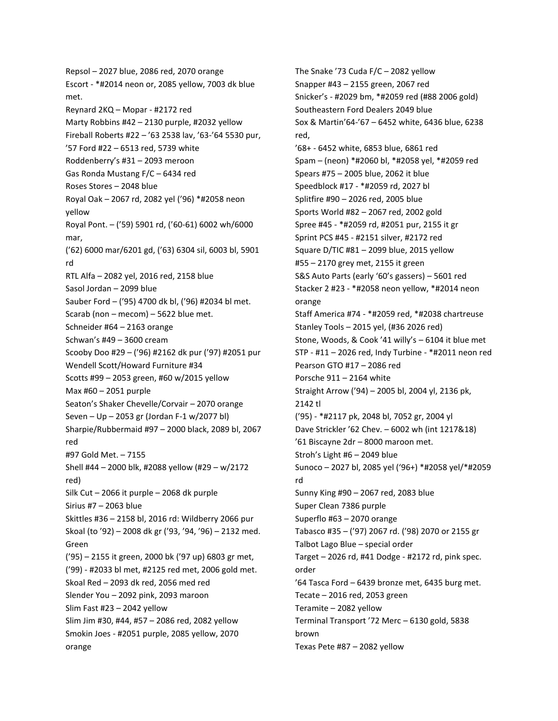Repsol – 2027 blue, 2086 red, 2070 orange Escort - \*#2014 neon or, 2085 yellow, 7003 dk blue met. Reynard 2KQ – Mopar - #2172 red Marty Robbins #42 – 2130 purple, #2032 yellow Fireball Roberts #22 – '63 2538 lav, '63-'64 5530 pur, '57 Ford #22 – 6513 red, 5739 white Roddenberry's #31 – 2093 meroon Gas Ronda Mustang F/C – 6434 red Roses Stores – 2048 blue Royal Oak – 2067 rd, 2082 yel ('96) \*#2058 neon yellow Royal Pont. – ('59) 5901 rd, ('60-61) 6002 wh/6000 mar, ('62) 6000 mar/6201 gd, ('63) 6304 sil, 6003 bl, 5901 rd RTL Alfa – 2082 yel, 2016 red, 2158 blue Sasol Jordan – 2099 blue Sauber Ford – ('95) 4700 dk bl, ('96) #2034 bl met. Scarab (non – mecom) – 5622 blue met. Schneider #64 – 2163 orange Schwan's #49 – 3600 cream Scooby Doo #29 – ('96) #2162 dk pur ('97) #2051 pur Wendell Scott/Howard Furniture #34 Scotts #99 – 2053 green, #60 w/2015 yellow Max #60 – 2051 purple Seaton's Shaker Chevelle/Corvair – 2070 orange Seven – Up – 2053 gr (Jordan F-1 w/2077 bl) Sharpie/Rubbermaid #97 – 2000 black, 2089 bl, 2067 red #97 Gold Met. – 7155 Shell #44 – 2000 blk, #2088 yellow (#29 – w/2172 red) Silk Cut – 2066 it purple – 2068 dk purple Sirius #7 – 2063 blue Skittles #36 – 2158 bl, 2016 rd: Wildberry 2066 pur Skoal (to '92) – 2008 dk gr ('93, '94, '96) – 2132 med. Green ('95) – 2155 it green, 2000 bk ('97 up) 6803 gr met, ('99) - #2033 bl met, #2125 red met, 2006 gold met. Skoal Red – 2093 dk red, 2056 med red Slender You – 2092 pink, 2093 maroon Slim Fast #23 – 2042 yellow Slim Jim #30, #44, #57 – 2086 red, 2082 yellow Smokin Joes - #2051 purple, 2085 yellow, 2070 orange

The Snake '73 Cuda F/C – 2082 yellow Snapper #43 – 2155 green, 2067 red Snicker's - #2029 bm, \*#2059 red (#88 2006 gold) Southeastern Ford Dealers 2049 blue Sox & Martin'64-'67 – 6452 white, 6436 blue, 6238 red, '68+ - 6452 white, 6853 blue, 6861 red Spam – (neon) \*#2060 bl, \*#2058 yel, \*#2059 red Spears #75 – 2005 blue, 2062 it blue Speedblock #17 - \*#2059 rd, 2027 bl Splitfire #90 – 2026 red, 2005 blue Sports World #82 – 2067 red, 2002 gold Spree #45 - \*#2059 rd, #2051 pur, 2155 it gr Sprint PCS #45 - #2151 silver, #2172 red Square D/TIC #81 – 2099 blue, 2015 yellow #55 – 2170 grey met, 2155 it green S&S Auto Parts (early '60's gassers) – 5601 red Stacker 2 #23 - \*#2058 neon yellow, \*#2014 neon orange Staff America #74 - \*#2059 red, \*#2038 chartreuse Stanley Tools – 2015 yel, (#36 2026 red) Stone, Woods, & Cook '41 willy's – 6104 it blue met STP - #11 – 2026 red, Indy Turbine - \*#2011 neon red Pearson GTO #17 – 2086 red Porsche 911 – 2164 white Straight Arrow ('94) – 2005 bl, 2004 yl, 2136 pk, 2142 tl ('95) - \*#2117 pk, 2048 bl, 7052 gr, 2004 yl Dave Strickler '62 Chev. – 6002 wh (int 1217&18) '61 Biscayne 2dr – 8000 maroon met. Stroh's Light #6 – 2049 blue Sunoco – 2027 bl, 2085 yel ('96+) \*#2058 yel/\*#2059 rd Sunny King #90 – 2067 red, 2083 blue Super Clean 7386 purple Superflo #63 – 2070 orange Tabasco #35 – ('97) 2067 rd. ('98) 2070 or 2155 gr Talbot Lago Blue – special order Target – 2026 rd, #41 Dodge - #2172 rd, pink spec. order '64 Tasca Ford – 6439 bronze met, 6435 burg met. Tecate – 2016 red, 2053 green Teramite – 2082 yellow Terminal Transport '72 Merc – 6130 gold, 5838 brown Texas Pete #87 – 2082 yellow